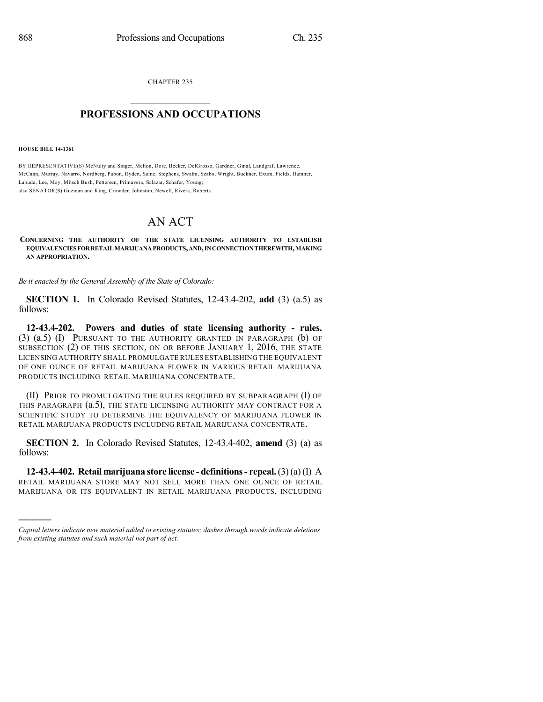CHAPTER 235

## $\overline{\phantom{a}}$  . The set of the set of the set of the set of the set of the set of the set of the set of the set of the set of the set of the set of the set of the set of the set of the set of the set of the set of the set o **PROFESSIONS AND OCCUPATIONS**  $\frac{1}{2}$  ,  $\frac{1}{2}$  ,  $\frac{1}{2}$  ,  $\frac{1}{2}$  ,  $\frac{1}{2}$  ,  $\frac{1}{2}$  ,  $\frac{1}{2}$

**HOUSE BILL 14-1361**

)))))

BY REPRESENTATIVE(S) McNulty and Singer, Melton, Dore, Becker, DelGrosso, Gardner, Ginal, Landgraf, Lawrence, McCann, Murray, Navarro, Nordberg, Pabon, Ryden, Saine, Stephens, Swalm, Szabo, Wright, Buckner, Exum, Fields, Hamner, Labuda, Lee, May, Mitsch Bush, Pettersen, Primavera, Salazar, Schafer, Young; also SENATOR(S) Guzman and King, Crowder, Johnston, Newell, Rivera, Roberts.

## AN ACT

## **CONCERNING THE AUTHORITY OF THE STATE LICENSING AUTHORITY TO ESTABLISH EQUIVALENCIESFORRETAILMARIJUANAPRODUCTS,AND,INCONNECTIONTHEREWITH,MAKING AN APPROPRIATION.**

*Be it enacted by the General Assembly of the State of Colorado:*

**SECTION 1.** In Colorado Revised Statutes, 12-43.4-202, **add** (3) (a.5) as follows:

**12-43.4-202. Powers and duties of state licensing authority - rules.** (3) (a.5) (I) PURSUANT TO THE AUTHORITY GRANTED IN PARAGRAPH (b) OF SUBSECTION (2) OF THIS SECTION, ON OR BEFORE JANUARY 1, 2016, THE STATE LICENSING AUTHORITY SHALL PROMULGATE RULES ESTABLISHING THE EQUIVALENT OF ONE OUNCE OF RETAIL MARIJUANA FLOWER IN VARIOUS RETAIL MARIJUANA PRODUCTS INCLUDING RETAIL MARIJUANA CONCENTRATE.

(II) PRIOR TO PROMULGATING THE RULES REQUIRED BY SUBPARAGRAPH (I) OF THIS PARAGRAPH (a.5), THE STATE LICENSING AUTHORITY MAY CONTRACT FOR A SCIENTIFIC STUDY TO DETERMINE THE EQUIVALENCY OF MARIJUANA FLOWER IN RETAIL MARIJUANA PRODUCTS INCLUDING RETAIL MARIJUANA CONCENTRATE.

**SECTION 2.** In Colorado Revised Statutes, 12-43.4-402, **amend** (3) (a) as follows:

**12-43.4-402. Retail marijuana store license - definitions- repeal.**(3)(a)(I) A RETAIL MARIJUANA STORE MAY NOT SELL MORE THAN ONE OUNCE OF RETAIL MARIJUANA OR ITS EQUIVALENT IN RETAIL MARIJUANA PRODUCTS, INCLUDING

*Capital letters indicate new material added to existing statutes; dashes through words indicate deletions from existing statutes and such material not part of act.*